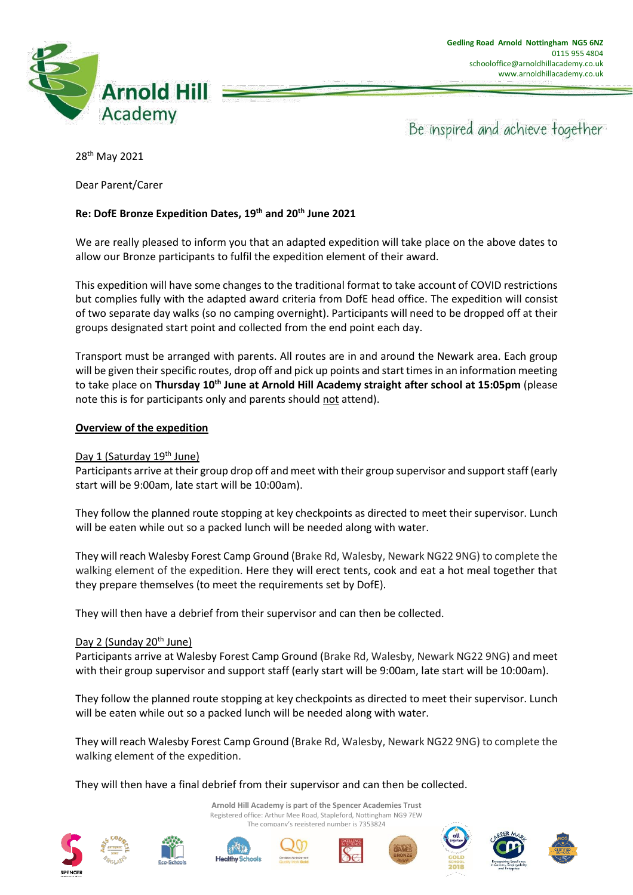

Be inspired and achieve together

28th May 2021

Dear Parent/Carer

# **Re: DofE Bronze Expedition Dates, 19th and 20th June 2021**

We are really pleased to inform you that an adapted expedition will take place on the above dates to allow our Bronze participants to fulfil the expedition element of their award.

This expedition will have some changes to the traditional format to take account of COVID restrictions but complies fully with the adapted award criteria from DofE head office. The expedition will consist of two separate day walks (so no camping overnight). Participants will need to be dropped off at their groups designated start point and collected from the end point each day.

Transport must be arranged with parents. All routes are in and around the Newark area. Each group will be given their specific routes, drop off and pick up points and start times in an information meeting to take place on **Thursday 10th June at Arnold Hill Academy straight after school at 15:05pm** (please note this is for participants only and parents should not attend).

# **Overview of the expedition**

## Day 1 (Saturday 19<sup>th</sup> June)

Participants arrive at their group drop off and meet with their group supervisor and support staff (early start will be 9:00am, late start will be 10:00am).

They follow the planned route stopping at key checkpoints as directed to meet their supervisor. Lunch will be eaten while out so a packed lunch will be needed along with water.

They will reach Walesby Forest Camp Ground (Brake Rd, Walesby, Newark NG22 9NG) to complete the walking element of the expedition. Here they will erect tents, cook and eat a hot meal together that they prepare themselves (to meet the requirements set by DofE).

They will then have a debrief from their supervisor and can then be collected.

## Day 2 (Sunday 20<sup>th</sup> June)

Participants arrive at Walesby Forest Camp Ground (Brake Rd, Walesby, Newark NG22 9NG) and meet with their group supervisor and support staff (early start will be 9:00am, late start will be 10:00am).

They follow the planned route stopping at key checkpoints as directed to meet their supervisor. Lunch will be eaten while out so a packed lunch will be needed along with water.

They will reach Walesby Forest Camp Ground (Brake Rd, Walesby, Newark NG22 9NG) to complete the walking element of the expedition.

> **Arnold Hill Academy is part of the Spencer Academies Trust** Registered office: Arthur Mee Road, Stapleford, Nottingham NG9 7EW The company's registered number is 7353824

They will then have a final debrief from their supervisor and can then be collected.











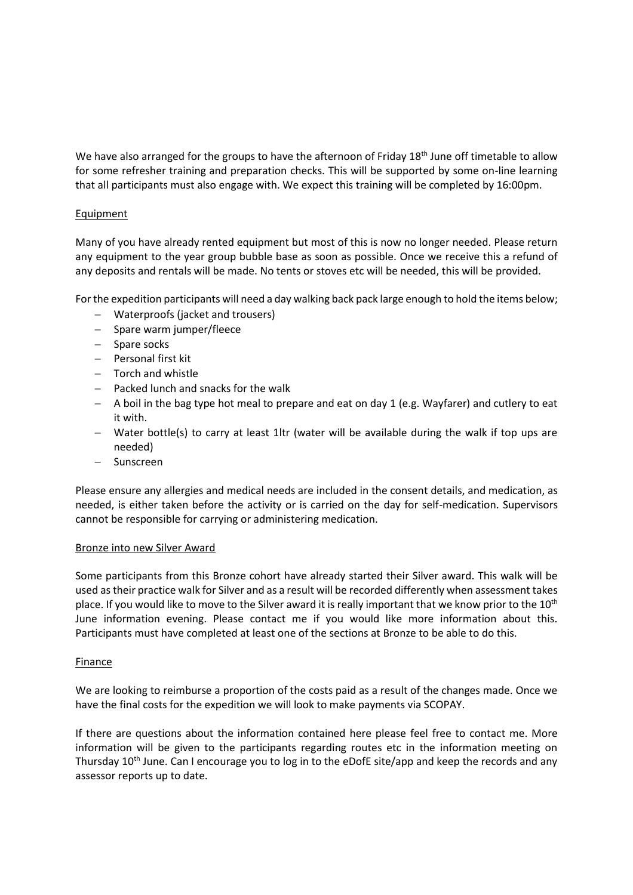We have also arranged for the groups to have the afternoon of Friday 18<sup>th</sup> June off timetable to allow for some refresher training and preparation checks. This will be supported by some on-line learning that all participants must also engage with. We expect this training will be completed by 16:00pm.

# **Equipment**

Many of you have already rented equipment but most of this is now no longer needed. Please return any equipment to the year group bubble base as soon as possible. Once we receive this a refund of any deposits and rentals will be made. No tents or stoves etc will be needed, this will be provided.

For the expedition participants will need a day walking back pack large enough to hold the items below;

- − Waterproofs (jacket and trousers)
- − Spare warm jumper/fleece
- − Spare socks
- − Personal first kit
- − Torch and whistle
- − Packed lunch and snacks for the walk
- − A boil in the bag type hot meal to prepare and eat on day 1 (e.g. Wayfarer) and cutlery to eat it with.
- − Water bottle(s) to carry at least 1ltr (water will be available during the walk if top ups are needed)
- − Sunscreen

Please ensure any allergies and medical needs are included in the consent details, and medication, as needed, is either taken before the activity or is carried on the day for self-medication. Supervisors cannot be responsible for carrying or administering medication.

## Bronze into new Silver Award

Some participants from this Bronze cohort have already started their Silver award. This walk will be used as their practice walk for Silver and as a result will be recorded differently when assessment takes place. If you would like to move to the Silver award it is really important that we know prior to the 10<sup>th</sup> June information evening. Please contact me if you would like more information about this. Participants must have completed at least one of the sections at Bronze to be able to do this.

## Finance

We are looking to reimburse a proportion of the costs paid as a result of the changes made. Once we have the final costs for the expedition we will look to make payments via SCOPAY.

If there are questions about the information contained here please feel free to contact me. More information will be given to the participants regarding routes etc in the information meeting on Thursday 10<sup>th</sup> June. Can I encourage you to log in to the eDofE site/app and keep the records and any assessor reports up to date.